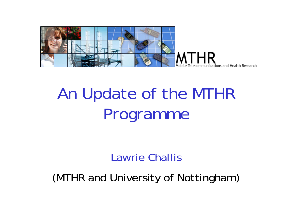

# An Update of the MTHR Programme

#### Lawrie Challis

(MTHR and University of Nottingham)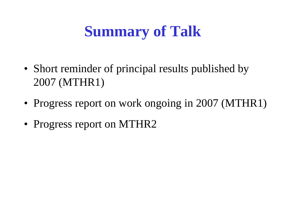## **Summary of Talk**

- Short reminder of principal results published by 2007 (MTHR1)
- Progress report on work ongoing in 2007 (MTHR1)
- Progress report on MTHR2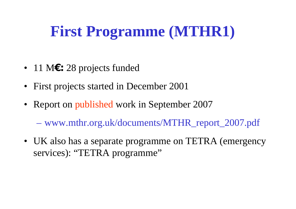## **First Programme (MTHR1)**

- 11 M**€:** 28 projects funded
- First projects started in December 2001
- Report on published work in September 2007

www.mthr.org.uk/documents/MTHR\_report\_2007.pdf

• UK also has a separate programme on TETRA (emergency services): "TETRA programme"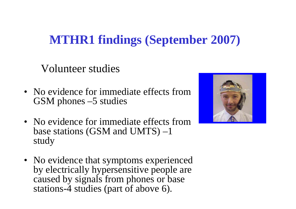#### **MTHR1 findings (September 2007)**

Volunteer studies

- No evidence for immediate effects from GSM phones –5 studies
- No evidence for immediate effects from base stations (GSM and UMTS) –1 study
- No evidence that symptoms experienced by electrically hypersensitive people are caused by signals from phones or base stations-4 studies (part of above 6).

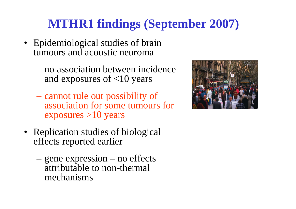### **MTHR1 findings (September 2007)**

- Epidemiological studies of brain tumours and acoustic neuroma
	- no association between incidence and exposures of <10 years
	- cannot rule out possibility of association for some tumours for exposures >10 years
- Replication studies of biological effects reported earlier
	- gene expression no effects attributable to non-thermal mechanisms

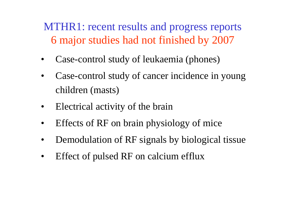MTHR1: recent results and progress reports 6 major studies had not finished by 2007

- •Case-control study of leukaemia (phones)
- • Case-control study of cancer incidence in young children (masts)
- $\bullet$ Electrical activity of the brain
- •Effects of RF on brain physiology of mice
- •Demodulation of RF signals by biological tissue
- •Effect of pulsed RF on calcium efflux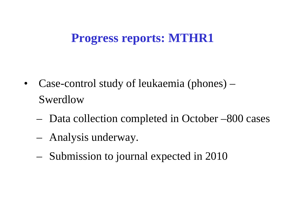#### **Progress reports: MTHR1**

- $\bullet$  Case-control study of leukaemia (phones) – Swerdlow
	- Data collection completed in October –800 cases
	- Analysis underway.
	- Submission to journal expected in 2010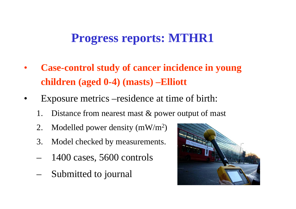#### **Progress reports: MTHR1**

- • **Case-control study of cancer incidence in young children (aged 0-4) (masts) –Elliott**
- • Exposure metrics –residence at time of birth:
	- 1. Distance from nearest mast & power output of mast
	- 2. Modelled power density  $(mW/m^2)$
	- 3. Model checked by measurements.
	- –1400 cases, 5600 controls
	- –Submitted to journal

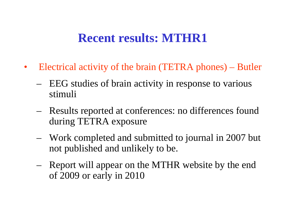- $\bullet$  Electrical activity of the brain (TETRA phones) – Butler
	- – EEG studies of brain activity in response to various stimuli
	- Results reported at conferences: no differences found during TETRA exposure
	- – Work completed and submitted to journal in 2007 but not published and unlikely to be.
	- – Report will appear on the MTHR website by the end of 2009 or early in 2010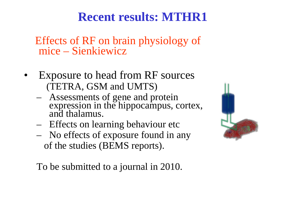Effects of RF on brain physiology of mice - Sienkiewicz

- Exposure to head from RF sources (TETRA, GSM and UMTS)
	- Assessments of gene and protein expression in the hippocampus, cortex, and thalamus.
	- Effects on learning behaviour etc
	- – No effects of exposure found in any of the studies (BEMS reports).



To be submitted to a journal in 2010.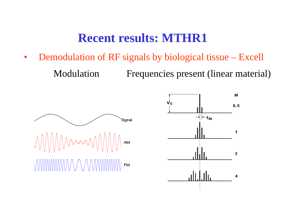$\bullet$ Demodulation of RF signals by biological tissue – Excell

Modulation Frequencies present (linear material)



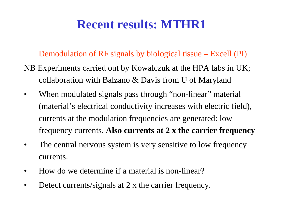#### Demodulation of RF signals by biological tissue – Excell (PI)

- NB Experiments carried out by Kowalczuk at the HPA labs in UK; collaboration with Balzano & Davis from U of Maryland
- $\bullet$ When modulated signals pass through "non-linear" material (material's electrical conductivity increases with electric field), currents at the modulation frequencies are generated: low frequency currents. **Also currents at 2 x the carrier frequency**
- $\bullet$  The central nervous system is very sensitive to low frequency currents.
- •How do we determine if a material is non-linear?
- •Detect currents/signals at 2 x the carrier frequency.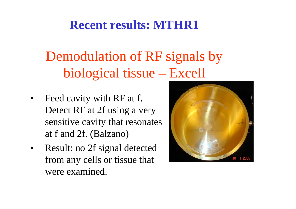## Demodulation of RF signals by biological tissue – Excell

- • Feed cavity with RF at f. Detect RF at 2f using a very sensitive cavity that resonates at f and 2f. (Balzano)
- • Result: no 2f signal detected from any cells or tissue that were examined.

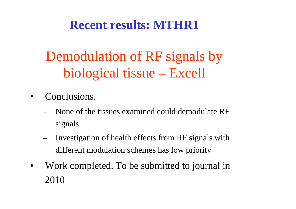## Demodulation of RF signals by biological tissue – Excell

- • Conclusions.
	- None of the tissues examined could demodulate RF signals
	- Investigation of health effects from RF signals with different modulation schemes has low priority
- $\bullet$  Work completed. To be submitted to journal in 2010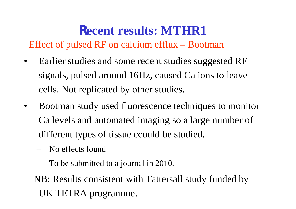Effect of pulsed RF on calcium efflux – Bootman

- $\bullet$  Earlier studies and some recent studies suggested RF signals, pulsed around 16Hz, caused Ca ions to leave cells. Not replicated by other studies.
- $\bullet$  Bootman study used fluorescence techniques to monitor Ca levels and automated imaging so a large number of different types of tissue ccould be studied.
	- No effects found
	- To be submitted to a journal in 2010.
	- NB: Results consistent with Tattersall study funded by UK TETRA programme.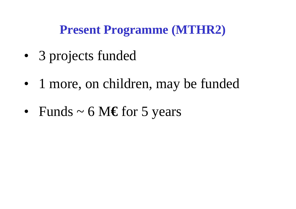#### **Present Programme (MTHR2)**

- •3 projects funded
- •1 more, on children, may be funded
- •Funds ~ 6 M **€** for 5 years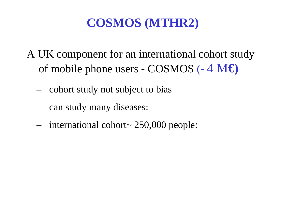#### **COSMOS (MTHR2)**

- A UK component for an international cohort study of mobile phone users - COSMOS (- 4 M**€)**
	- –cohort study not subject to bias
	- –can study many diseases:
	- international cohort~ 250,000 people: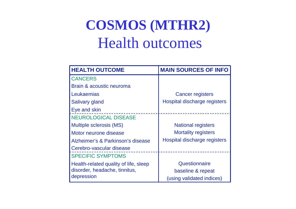## **COSMOS (MTHR2)** Health outcomes

| <b>HEALTH OUTCOME</b>                 | <b>MAIN SOURCES OF INFO</b>  |
|---------------------------------------|------------------------------|
| <b>CANCERS</b>                        |                              |
| Brain & acoustic neuroma              |                              |
| Leukaemias                            | <b>Cancer registers</b>      |
| <b>Salivary gland</b>                 | Hospital discharge registers |
| Eye and skin                          |                              |
| <b>NEUROLOGICAL DISEASE</b>           |                              |
| Multiple sclerosis (MS)               | <b>National registers</b>    |
| Motor neurone disease                 | <b>Mortality registers</b>   |
| Alzheimer's & Parkinson's disease     | Hospital discharge registers |
| Cerebro-vascular disease              |                              |
| <b>SPECIFIC SYMPTOMS</b>              |                              |
| Health-related quality of life, sleep | Questionnaire                |
| disorder, headache, tinnitus,         | baseline & repeat            |
| depression                            | (using validated indices)    |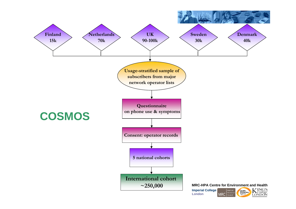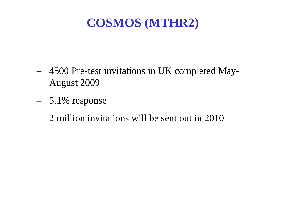#### **COSMOS (MTHR2)**

- 4500 Pre-test invitations in UK completed May-August 2009
- 5.1% response
- 2 million invitations will be sent out in 2010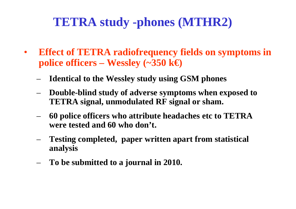#### **TETRA study -phones (MTHR2)**

- $\bullet$  **Effect of TETRA radiofrequency fields on symptoms in police officers – Wessley**  $(\sim 350 \text{ kg})$ 
	- **Identical to the Wessley study using GSM phones**
	- **Double-blind study of adverse symptoms when exposed to TETRA signal, unmodulated RF signal or sham.**
	- **60 police officers who attribute headaches etc to TETRA were tested and 60 who don't.**
	- **Testing completed, paper written apart from statistical analysis**
	- **To be submitted to a journal in 2010.**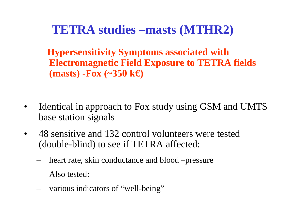#### **TETRA studies –masts (MTHR2)**

**Hypersensitivity Symptoms associated with Electromagnetic Field Exposure to TETRA fields (masts) -Fox (~350 k€)** 

- $\bullet$  Identical in approach to Fox study using GSM and UMTS base station signals
- 48 sensitive and 132 control volunteers were tested (double-blind) to see if TETRA affected:
	- – heart rate, skin conductance and blood –pressure Also tested:
	- various indicators of "well-being"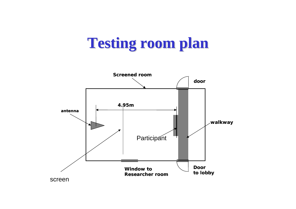## **Testing room plan Testing room plan**

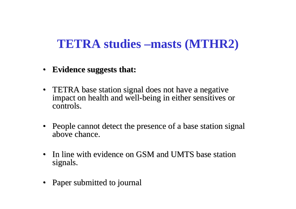#### **TETRA studies –masts (MTHR2)**

- **Evidence suggests that: Evidence suggests that:**
- TETRA base station signal does not have a negative impact on health and well-being in either sensitives or controls.
- People cannot detect the presence of a base station signal above chance.
- In line with evidence on GSM and UMTS base station signals.
- Paper submitted to journal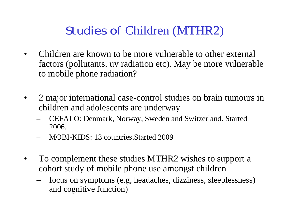#### Studies of Children (MTHR2)

- • Children are known to be more vulnerable to other external factors (pollutants, uv radiation etc). May be more vulnerable to mobile phone radiation?
- • 2 major international case-control studies on brain tumours in children and adolescents are underway
	- – CEFALO: Denmark, Norway, Sweden and Switzerland. Started 2006.
	- MOBI-KIDS: 13 countries.Started 2009
- $\bullet$  To complement these studies MTHR2 wishes to support a cohort study of mobile phone use amongst children
	- focus on symptoms (e.g, headaches, dizziness, sleeplessness) and cognitive function)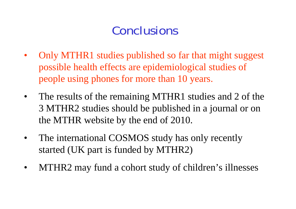#### **Conclusions**

- $\bullet$  Only MTHR1 studies published so far that might suggest possible health effects are epidemiological studies of people using phones for more than 10 years.
- $\bullet$  The results of the remaining MTHR1 studies and 2 of the 3 MTHR2 studies should be published in a journal or on the MTHR website by the end of 2010.
- $\bullet$  The international COSMOS study has only recently started (UK part is funded by MTHR2)
- $\bullet$ MTHR2 may fund a cohort study of children's illnesses